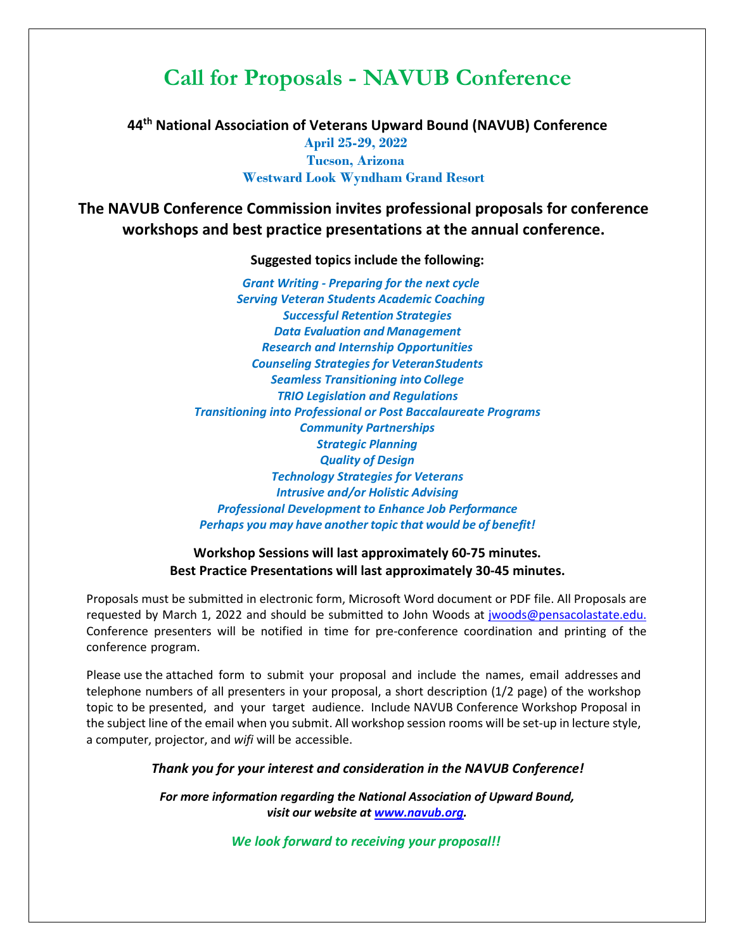## **Call for Proposals - NAVUB Conference**

**44th National Association of Veterans Upward Bound (NAVUB) Conference April 25-29, 2022 Tucson, Arizona Westward Look Wyndham Grand Resort**

**The NAVUB Conference Commission invites professional proposals for conference workshops and best practice presentations at the annual conference.**

**Suggested topics include the following:**

*Grant Writing - Preparing for the next cycle Serving Veteran Students Academic Coaching Successful Retention Strategies Data Evaluation and Management Research and Internship Opportunities Counseling Strategies for VeteranStudents Seamless Transitioning into College TRIO Legislation and Regulations Transitioning into Professional or Post Baccalaureate Programs Community Partnerships Strategic Planning Quality of Design Technology Strategies for Veterans Intrusive and/or Holistic Advising Professional Development to Enhance Job Performance Perhaps you may have another topic that would be of benefit!*

**Workshop Sessions will last approximately 60-75 minutes. Best Practice Presentations will last approximately 30-45 minutes.**

Proposals must be submitted in electronic form, Microsoft Word document or PDF file. All Proposals are requested by March 1, 2022 and should be submitted to John Woods at jwoods@pensacolastate.edu. Conference presenters will be notified in time for pre-conference coordination and printing of the conference program.

Please use the attached form to submit your proposal and include the names, email addresses and telephone numbers of all presenters in your proposal, a short description (1/2 page) of the workshop topic to be presented, and your target audience. Include NAVUB Conference Workshop Proposal in the subject line of the email when you submit. All workshop session rooms will be set-up in lecture style, a computer, projector, and *wifi* will be accessible.

*Thank you for your interest and consideration in the NAVUB Conference!*

*For more information regarding the National Association of Upward Bound, visit our website at [www.navub.org.](http://www.navub.org/)*

*We look forward to receiving your proposal!!*